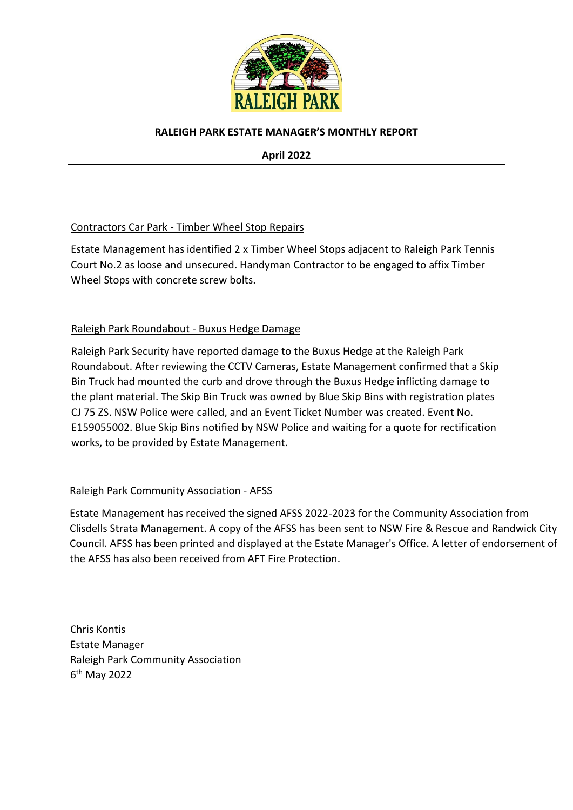

## **RALEIGH PARK ESTATE MANAGER'S MONTHLY REPORT**

**April 2022**

## Contractors Car Park - Timber Wheel Stop Repairs

Estate Management has identified 2 x Timber Wheel Stops adjacent to Raleigh Park Tennis Court No.2 as loose and unsecured. Handyman Contractor to be engaged to affix Timber Wheel Stops with concrete screw bolts.

## Raleigh Park Roundabout - Buxus Hedge Damage

Raleigh Park Security have reported damage to the Buxus Hedge at the Raleigh Park Roundabout. After reviewing the CCTV Cameras, Estate Management confirmed that a Skip Bin Truck had mounted the curb and drove through the Buxus Hedge inflicting damage to the plant material. The Skip Bin Truck was owned by Blue Skip Bins with registration plates CJ 75 ZS. NSW Police were called, and an Event Ticket Number was created. Event No. E159055002. Blue Skip Bins notified by NSW Police and waiting for a quote for rectification works, to be provided by Estate Management.

## Raleigh Park Community Association - AFSS

Estate Management has received the signed AFSS 2022-2023 for the Community Association from Clisdells Strata Management. A copy of the AFSS has been sent to NSW Fire & Rescue and Randwick City Council. AFSS has been printed and displayed at the Estate Manager's Office. A letter of endorsement of the AFSS has also been received from AFT Fire Protection.

Chris Kontis Estate Manager Raleigh Park Community Association 6 th May 2022